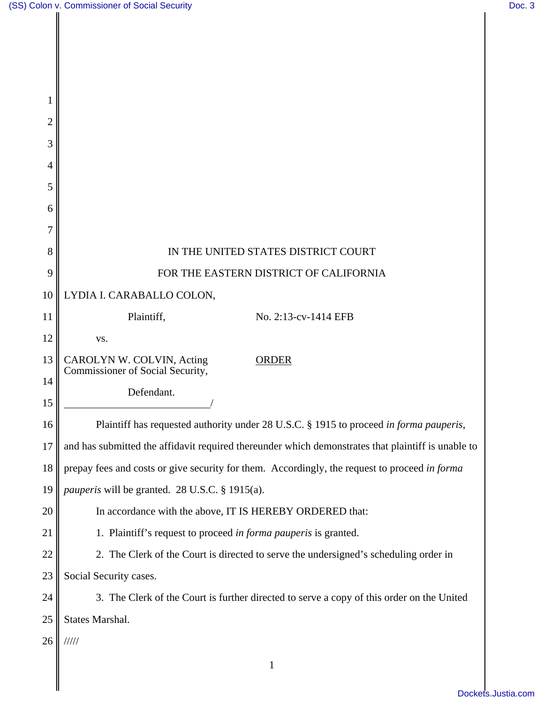Π

| 1      |                                                                                                    |
|--------|----------------------------------------------------------------------------------------------------|
| 2      |                                                                                                    |
| 3      |                                                                                                    |
| 4      |                                                                                                    |
| 5      |                                                                                                    |
| 6<br>7 |                                                                                                    |
| 8      | IN THE UNITED STATES DISTRICT COURT                                                                |
| 9      | FOR THE EASTERN DISTRICT OF CALIFORNIA                                                             |
| 10     | LYDIA I. CARABALLO COLON,                                                                          |
| 11     | Plaintiff,<br>No. 2:13-cv-1414 EFB                                                                 |
| 12     | VS.                                                                                                |
| 13     | CAROLYN W. COLVIN, Acting<br><b>ORDER</b>                                                          |
| 14     | Commissioner of Social Security,                                                                   |
| 15     | Defendant.                                                                                         |
| 16     | Plaintiff has requested authority under 28 U.S.C. § 1915 to proceed in forma pauperis,             |
| 17     | and has submitted the affidavit required thereunder which demonstrates that plaintiff is unable to |
| 18     | prepay fees and costs or give security for them. Accordingly, the request to proceed in forma      |
| 19     | pauperis will be granted. 28 U.S.C. § 1915(a).                                                     |
| 20     | In accordance with the above, IT IS HEREBY ORDERED that:                                           |
| 21     | 1. Plaintiff's request to proceed in forma pauperis is granted.                                    |
| 22     | 2. The Clerk of the Court is directed to serve the undersigned's scheduling order in               |
| 23     | Social Security cases.                                                                             |
| 24     | 3. The Clerk of the Court is further directed to serve a copy of this order on the United          |
| 25     | States Marshal.                                                                                    |
| 26     | /////                                                                                              |
|        | $\mathbf{1}$                                                                                       |
|        |                                                                                                    |